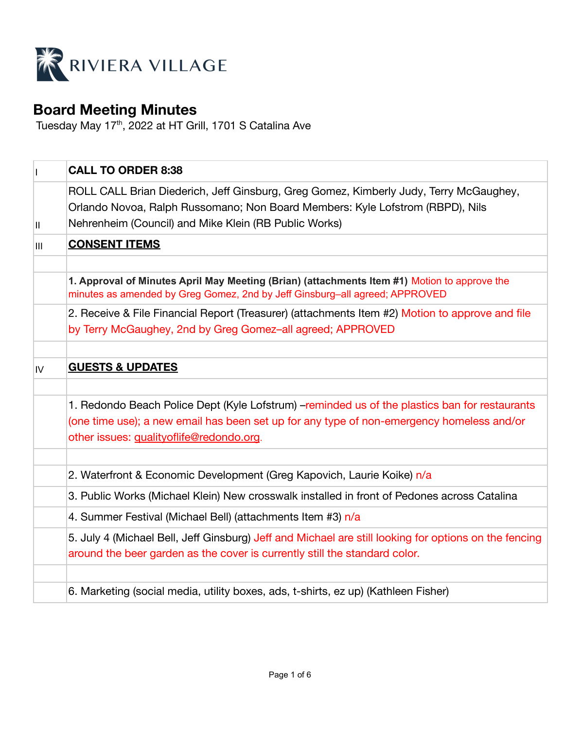

# **Board Meeting Minutes**

Tuesday May 17<sup>th</sup>, 2022 at HT Grill, 1701 S Catalina Ave

|     | <b>CALL TO ORDER 8:38</b>                                                                                                                                                                                                               |  |  |  |  |  |
|-----|-----------------------------------------------------------------------------------------------------------------------------------------------------------------------------------------------------------------------------------------|--|--|--|--|--|
| Ш   | ROLL CALL Brian Diederich, Jeff Ginsburg, Greg Gomez, Kimberly Judy, Terry McGaughey,<br>Orlando Novoa, Ralph Russomano; Non Board Members: Kyle Lofstrom (RBPD), Nils<br>Nehrenheim (Council) and Mike Klein (RB Public Works)         |  |  |  |  |  |
| III | <b>CONSENT ITEMS</b>                                                                                                                                                                                                                    |  |  |  |  |  |
|     | 1. Approval of Minutes April May Meeting (Brian) (attachments Item #1) Motion to approve the<br>minutes as amended by Greg Gomez, 2nd by Jeff Ginsburg-all agreed; APPROVED                                                             |  |  |  |  |  |
|     | 2. Receive & File Financial Report (Treasurer) (attachments Item #2) Motion to approve and file<br>by Terry McGaughey, 2nd by Greg Gomez-all agreed; APPROVED                                                                           |  |  |  |  |  |
| IV. | <b>GUESTS &amp; UPDATES</b>                                                                                                                                                                                                             |  |  |  |  |  |
|     | 1. Redondo Beach Police Dept (Kyle Lofstrum) - reminded us of the plastics ban for restaurants<br>(one time use); a new email has been set up for any type of non-emergency homeless and/or<br>other issues: qualityoflife@redondo.org. |  |  |  |  |  |
|     | 2. Waterfront & Economic Development (Greg Kapovich, Laurie Koike) n/a                                                                                                                                                                  |  |  |  |  |  |
|     | 3. Public Works (Michael Klein) New crosswalk installed in front of Pedones across Catalina                                                                                                                                             |  |  |  |  |  |
|     | 4. Summer Festival (Michael Bell) (attachments Item #3) n/a                                                                                                                                                                             |  |  |  |  |  |
|     | 5. July 4 (Michael Bell, Jeff Ginsburg) Jeff and Michael are still looking for options on the fencing<br>around the beer garden as the cover is currently still the standard color.                                                     |  |  |  |  |  |
|     |                                                                                                                                                                                                                                         |  |  |  |  |  |
|     | 6. Marketing (social media, utility boxes, ads, t-shirts, ez up) (Kathleen Fisher)                                                                                                                                                      |  |  |  |  |  |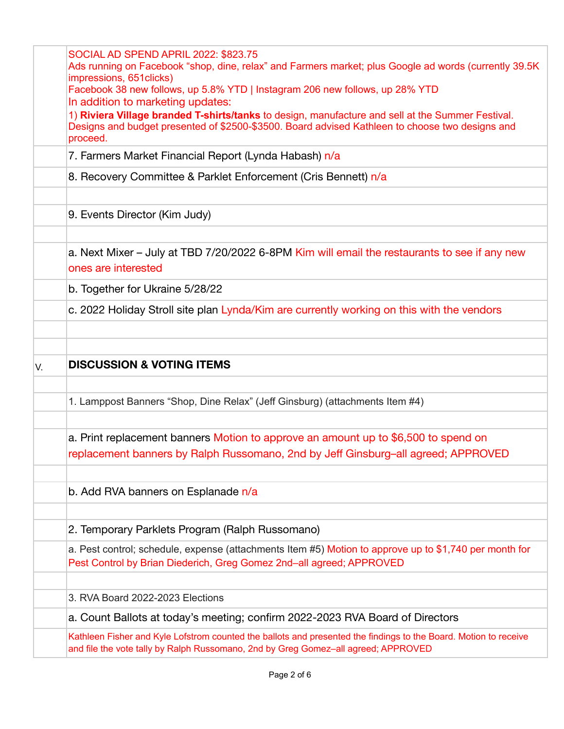| SOCIAL AD SPEND APRIL 2022: \$823.75<br>Ads running on Facebook "shop, dine, relax" and Farmers market; plus Google ad words (currently 39.5K<br>impressions, 651 clicks)<br>Facebook 38 new follows, up 5.8% YTD   Instagram 206 new follows, up 28% YTD<br>In addition to marketing updates:<br>1) Riviera Village branded T-shirts/tanks to design, manufacture and sell at the Summer Festival.<br>Designs and budget presented of \$2500-\$3500. Board advised Kathleen to choose two designs and<br>proceed. |                                                                                                                                                                                |  |  |  |  |  |
|--------------------------------------------------------------------------------------------------------------------------------------------------------------------------------------------------------------------------------------------------------------------------------------------------------------------------------------------------------------------------------------------------------------------------------------------------------------------------------------------------------------------|--------------------------------------------------------------------------------------------------------------------------------------------------------------------------------|--|--|--|--|--|
|                                                                                                                                                                                                                                                                                                                                                                                                                                                                                                                    | 7. Farmers Market Financial Report (Lynda Habash) n/a                                                                                                                          |  |  |  |  |  |
|                                                                                                                                                                                                                                                                                                                                                                                                                                                                                                                    | 8. Recovery Committee & Parklet Enforcement (Cris Bennett) n/a                                                                                                                 |  |  |  |  |  |
|                                                                                                                                                                                                                                                                                                                                                                                                                                                                                                                    | 9. Events Director (Kim Judy)                                                                                                                                                  |  |  |  |  |  |
|                                                                                                                                                                                                                                                                                                                                                                                                                                                                                                                    | a. Next Mixer – July at TBD 7/20/2022 6-8PM Kim will email the restaurants to see if any new<br>ones are interested                                                            |  |  |  |  |  |
|                                                                                                                                                                                                                                                                                                                                                                                                                                                                                                                    | b. Together for Ukraine 5/28/22                                                                                                                                                |  |  |  |  |  |
|                                                                                                                                                                                                                                                                                                                                                                                                                                                                                                                    | c. 2022 Holiday Stroll site plan Lynda/Kim are currently working on this with the vendors                                                                                      |  |  |  |  |  |
|                                                                                                                                                                                                                                                                                                                                                                                                                                                                                                                    | <b>DISCUSSION &amp; VOTING ITEMS</b>                                                                                                                                           |  |  |  |  |  |
| IV.                                                                                                                                                                                                                                                                                                                                                                                                                                                                                                                |                                                                                                                                                                                |  |  |  |  |  |
|                                                                                                                                                                                                                                                                                                                                                                                                                                                                                                                    | 1. Lamppost Banners "Shop, Dine Relax" (Jeff Ginsburg) (attachments Item #4)                                                                                                   |  |  |  |  |  |
|                                                                                                                                                                                                                                                                                                                                                                                                                                                                                                                    | a. Print replacement banners Motion to approve an amount up to \$6,500 to spend on<br>replacement banners by Ralph Russomano, 2nd by Jeff Ginsburg-all agreed; APPROVED        |  |  |  |  |  |
|                                                                                                                                                                                                                                                                                                                                                                                                                                                                                                                    | b. Add RVA banners on Esplanade n/a                                                                                                                                            |  |  |  |  |  |
|                                                                                                                                                                                                                                                                                                                                                                                                                                                                                                                    | 2. Temporary Parklets Program (Ralph Russomano)                                                                                                                                |  |  |  |  |  |
|                                                                                                                                                                                                                                                                                                                                                                                                                                                                                                                    | a. Pest control; schedule, expense (attachments Item #5) Motion to approve up to \$1,740 per month for<br>Pest Control by Brian Diederich, Greg Gomez 2nd-all agreed; APPROVED |  |  |  |  |  |
|                                                                                                                                                                                                                                                                                                                                                                                                                                                                                                                    | 3. RVA Board 2022-2023 Elections                                                                                                                                               |  |  |  |  |  |
|                                                                                                                                                                                                                                                                                                                                                                                                                                                                                                                    | a. Count Ballots at today's meeting; confirm 2022-2023 RVA Board of Directors                                                                                                  |  |  |  |  |  |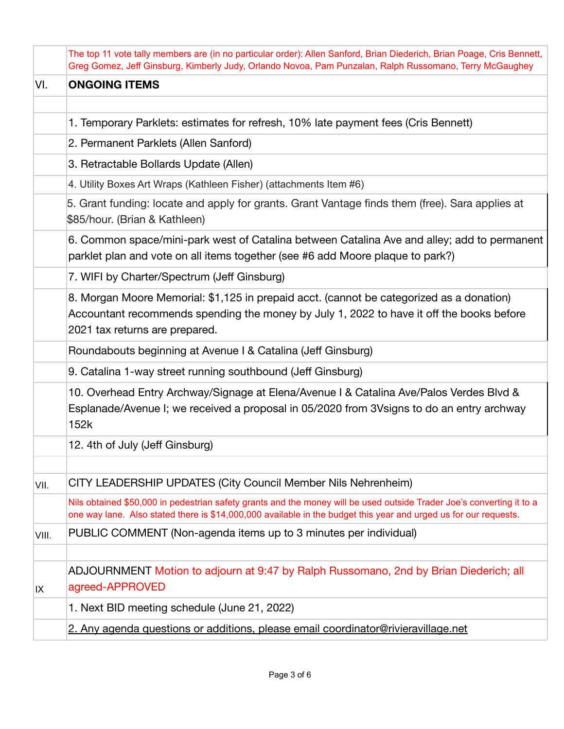|       | The top 11 vote tally members are (in no particular order): Allen Sanford, Brian Diederich, Brian Poage, Cris Bennett,<br>Greg Gomez, Jeff Ginsburg, Kimberly Judy, Orlando Novoa, Pam Punzalan, Ralph Russomano, Terry McGaughey         |
|-------|-------------------------------------------------------------------------------------------------------------------------------------------------------------------------------------------------------------------------------------------|
| VI.   | <b>ONGOING ITEMS</b>                                                                                                                                                                                                                      |
|       |                                                                                                                                                                                                                                           |
|       | 1. Temporary Parklets: estimates for refresh, 10% late payment fees (Cris Bennett)                                                                                                                                                        |
|       | 2. Permanent Parklets (Allen Sanford)                                                                                                                                                                                                     |
|       | 3. Retractable Bollards Update (Allen)                                                                                                                                                                                                    |
|       | 4. Utility Boxes Art Wraps (Kathleen Fisher) (attachments Item #6)                                                                                                                                                                        |
|       | 5. Grant funding: locate and apply for grants. Grant Vantage finds them (free). Sara applies at<br>\$85/hour. (Brian & Kathleen)                                                                                                          |
|       | 6. Common space/mini-park west of Catalina between Catalina Ave and alley; add to permanent<br>parklet plan and vote on all items together (see #6 add Moore plaque to park?)                                                             |
|       | 7. WIFI by Charter/Spectrum (Jeff Ginsburg)                                                                                                                                                                                               |
|       | 8. Morgan Moore Memorial: \$1,125 in prepaid acct. (cannot be categorized as a donation)<br>Accountant recommends spending the money by July 1, 2022 to have it off the books before<br>2021 tax returns are prepared.                    |
|       | Roundabouts beginning at Avenue I & Catalina (Jeff Ginsburg)                                                                                                                                                                              |
|       | 9. Catalina 1-way street running southbound (Jeff Ginsburg)                                                                                                                                                                               |
|       | 10. Overhead Entry Archway/Signage at Elena/Avenue I & Catalina Ave/Palos Verdes Blvd &<br>Esplanade/Avenue I; we received a proposal in 05/2020 from 3Vsigns to do an entry archway<br>152k                                              |
|       | 12. 4th of July (Jeff Ginsburg)                                                                                                                                                                                                           |
|       |                                                                                                                                                                                                                                           |
| VII.  | CITY LEADERSHIP UPDATES (City Council Member Nils Nehrenheim)                                                                                                                                                                             |
|       | Nils obtained \$50,000 in pedestrian safety grants and the money will be used outside Trader Joe's converting it to a<br>one way lane. Also stated there is \$14,000,000 available in the budget this year and urged us for our requests. |
| VIII. | PUBLIC COMMENT (Non-agenda items up to 3 minutes per individual)                                                                                                                                                                          |
|       |                                                                                                                                                                                                                                           |
| IX    | ADJOURNMENT Motion to adjourn at 9:47 by Ralph Russomano, 2nd by Brian Diederich; all<br>agreed-APPROVED                                                                                                                                  |
|       | 1. Next BID meeting schedule (June 21, 2022)                                                                                                                                                                                              |
|       | 2. Any agenda questions or additions, please email coordinator@rivieravillage.net                                                                                                                                                         |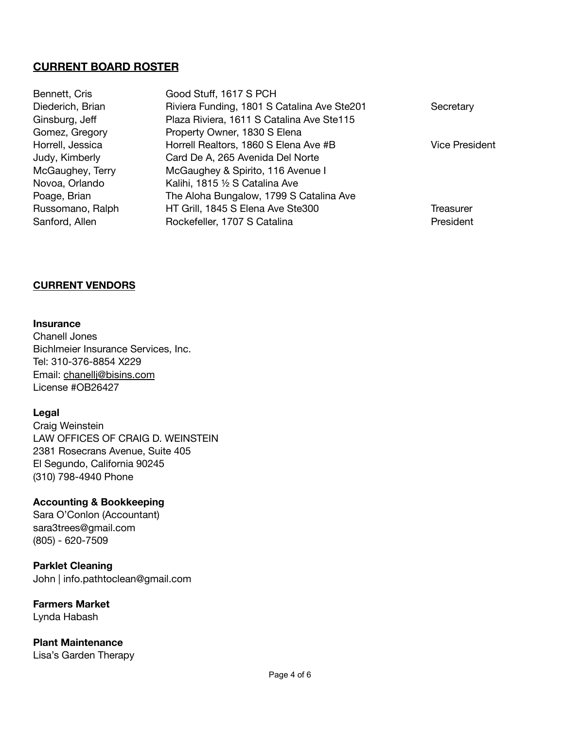## **CURRENT BOARD ROSTER**

| Bennett, Cris    | Good Stuff, 1617 S PCH                      |                       |
|------------------|---------------------------------------------|-----------------------|
| Diederich, Brian | Riviera Funding, 1801 S Catalina Ave Ste201 | Secretary             |
| Ginsburg, Jeff   | Plaza Riviera, 1611 S Catalina Ave Ste115   |                       |
| Gomez, Gregory   | Property Owner, 1830 S Elena                |                       |
| Horrell, Jessica | Horrell Realtors, 1860 S Elena Ave #B       | <b>Vice President</b> |
| Judy, Kimberly   | Card De A, 265 Avenida Del Norte            |                       |
| McGaughey, Terry | McGaughey & Spirito, 116 Avenue I           |                       |
| Novoa, Orlando   | Kalihi, 1815 1/2 S Catalina Ave             |                       |
| Poage, Brian     | The Aloha Bungalow, 1799 S Catalina Ave     |                       |
| Russomano, Ralph | HT Grill, 1845 S Elena Ave Ste300           | Treasurer             |
| Sanford, Allen   | Rockefeller, 1707 S Catalina                | President             |
|                  |                                             |                       |

#### **CURRENT VENDORS**

**Insurance**

Chanell Jones Bichlmeier Insurance Services, Inc. Tel: 310-376-8854 X229 Email: [chanellj@bisins.com](mailto:chanellj@bisins.com) License #OB26427

#### **Legal**

Craig Weinstein LAW OFFICES OF CRAIG D. WEINSTEIN 2381 Rosecrans Avenue, Suite 405 El Segundo, California 90245 (310) 798-4940 Phone

### **Accounting & Bookkeeping**

Sara O'Conlon (Accountant) sara3trees@gmail.com (805) - 620-7509

### **Parklet Cleaning**

John | info.pathtoclean@gmail.com

#### **Farmers Market** Lynda Habash

**Plant Maintenance** Lisa's Garden Therapy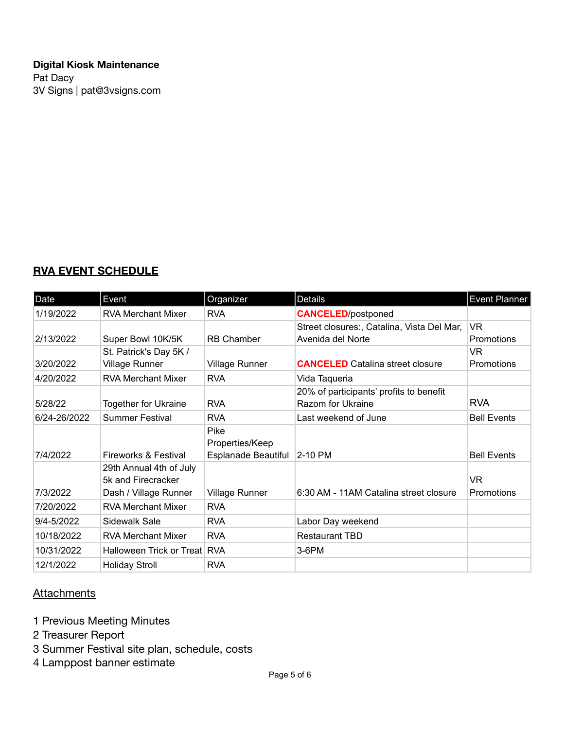## **Digital Kiosk Maintenance** Pat Dacy 3V Signs | pat@3vsigns.com

# **RVA EVENT SCHEDULE**

| Date         | Event                        | Organizer             | Details                                    | <b>Event Planner</b> |
|--------------|------------------------------|-----------------------|--------------------------------------------|----------------------|
| 1/19/2022    | <b>RVA Merchant Mixer</b>    | <b>RVA</b>            | <b>CANCELED</b> /postponed                 |                      |
|              |                              |                       | Street closures:, Catalina, Vista Del Mar, | VR.                  |
| 2/13/2022    | Super Bowl 10K/5K            | <b>RB Chamber</b>     | Avenida del Norte                          | <b>Promotions</b>    |
|              | St. Patrick's Day 5K /       |                       |                                            | <b>VR</b>            |
| 3/20/2022    | <b>Village Runner</b>        | <b>Village Runner</b> | <b>CANCELED</b> Catalina street closure    | Promotions           |
| 4/20/2022    | <b>RVA Merchant Mixer</b>    | <b>RVA</b>            | Vida Taqueria                              |                      |
|              |                              |                       | 20% of participants' profits to benefit    |                      |
| 5/28/22      | <b>Together for Ukraine</b>  | <b>RVA</b>            | Razom for Ukraine                          | <b>RVA</b>           |
| 6/24-26/2022 | <b>Summer Festival</b>       | <b>RVA</b>            | Last weekend of June                       | <b>Bell Events</b>   |
|              |                              | Pike                  |                                            |                      |
|              |                              | Properties/Keep       |                                            |                      |
| 7/4/2022     | Fireworks & Festival         | Esplanade Beautiful   | 2-10 PM                                    | <b>Bell Events</b>   |
|              | 29th Annual 4th of July      |                       |                                            |                      |
|              | 5k and Firecracker           |                       |                                            | VR.                  |
| 7/3/2022     | Dash / Village Runner        | <b>Village Runner</b> | 6:30 AM - 11AM Catalina street closure     | Promotions           |
| 7/20/2022    | <b>RVA Merchant Mixer</b>    | <b>RVA</b>            |                                            |                      |
| 9/4-5/2022   | Sidewalk Sale                | <b>RVA</b>            | Labor Day weekend                          |                      |
| 10/18/2022   | <b>RVA Merchant Mixer</b>    | <b>RVA</b>            | <b>Restaurant TBD</b>                      |                      |
| 10/31/2022   | Halloween Trick or Treat RVA |                       | $3-6$ PM                                   |                      |
| 12/1/2022    | <b>Holiday Stroll</b>        | <b>RVA</b>            |                                            |                      |

## **Attachments**

- 1 Previous Meeting Minutes
- 2 Treasurer Report
- 3 Summer Festival site plan, schedule, costs
- 4 Lamppost banner estimate